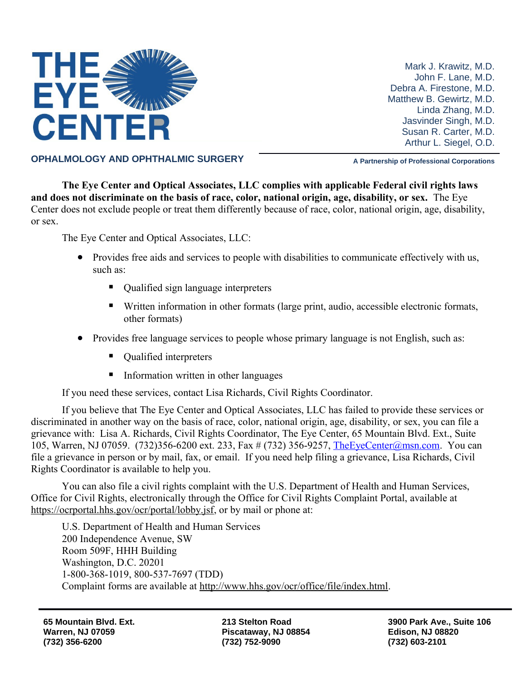

Mark J. Krawitz, M.D. John F. Lane, M.D. Debra A. Firestone, M.D. Matthew B. Gewirtz, M.D. Linda Zhang, M.D. Jasvinder Singh, M.D. Susan R. Carter, M.D. Arthur L. Siegel, O.D.

**OPHALMOLOGY AND OPHTHALMIC SURGERY A Partnership of Professional Corporations** 

**The Eye Center and Optical Associates, LLC complies with applicable Federal civil rights laws and does not discriminate on the basis of race, color, national origin, age, disability, or sex.** The Eye Center does not exclude people or treat them differently because of race, color, national origin, age, disability, or sex.

The Eye Center and Optical Associates, LLC:

- Provides free aids and services to people with disabilities to communicate effectively with us, such as:
	- Qualified sign language interpreters
	- Written information in other formats (large print, audio, accessible electronic formats, other formats)
- Provides free language services to people whose primary language is not English, such as:
	- Qualified interpreters
	- Information written in other languages

If you need these services, contact Lisa Richards, Civil Rights Coordinator.

If you believe that The Eye Center and Optical Associates, LLC has failed to provide these services or discriminated in another way on the basis of race, color, national origin, age, disability, or sex, you can file a grievance with: Lisa A. Richards, Civil Rights Coordinator, The Eye Center, 65 Mountain Blvd. Ext., Suite 105, Warren, NJ 07059. (732)356-6200 ext. 233, Fax # (732) 356-9257, [TheEyeCenter@msn.com.](mailto:TheEyeCenter@msn.com) You can file a grievance in person or by mail, fax, or email. If you need help filing a grievance, Lisa Richards, Civil Rights Coordinator is available to help you.

You can also file a civil rights complaint with the U.S. Department of Health and Human Services, Office for Civil Rights, electronically through the Office for Civil Rights Complaint Portal, available at https://ocrportal.hhs.gov/ocr/portal/lobby.jsf, or by mail or phone at:

U.S. Department of Health and Human Services 200 Independence Avenue, SW Room 509F, HHH Building Washington, D.C. 20201 1-800-368-1019, 800-537-7697 (TDD) Complaint forms are available at http://www.hhs.gov/ocr/office/file/index.html.

**213 Stelton Road Piscataway, NJ 08854 (732) 752-9090**